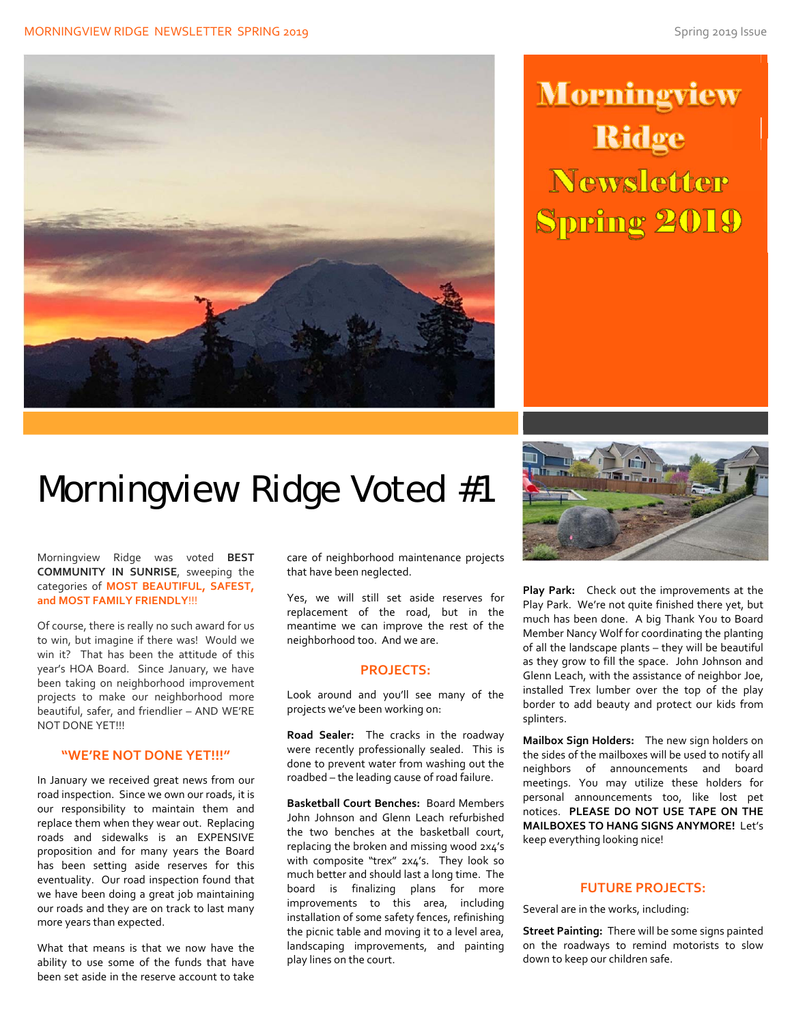#### MORNINGVIEW RIDGE NEWSLETTER SPRING 2019 Spring 2019 Spring 2019 Issue



# **Morningview Ridge Newsletter Spring 2019**

# Morningview Ridge Voted #1

Morningview Ridge was voted **BEST COMMUNITY IN SUNRISE**, sweeping the categories of **MOST BEAUTIFUL, SAFEST, and MOST FAMILY FRIENDLY**!!!

Of course, there is really no such award for us to win, but imagine if there was! Would we win it? That has been the attitude of this year's HOA Board. Since January, we have been taking on neighborhood improvement projects to make our neighborhood more beautiful, safer, and friendlier – AND WE'RE NOT DONE YET!!!

### **"WE'RE NOT DONE YET!!!"**

In January we received great news from our road inspection. Since we own our roads, it is our responsibility to maintain them and replace them when they wear out. Replacing roads and sidewalks is an EXPENSIVE proposition and for many years the Board has been setting aside reserves for this eventuality. Our road inspection found that we have been doing a great job maintaining our roads and they are on track to last many more years than expected.

What that means is that we now have the ability to use some of the funds that have been set aside in the reserve account to take

care of neighborhood maintenance projects that have been neglected.

Yes, we will still set aside reserves for replacement of the road, but in the meantime we can improve the rest of the neighborhood too. And we are.

#### **PROJECTS:**

Look around and you'll see many of the projects we've been working on:

**Road Sealer:** The cracks in the roadway were recently professionally sealed. This is done to prevent water from washing out the roadbed – the leading cause of road failure.

**Basketball Court Benches:** Board Members John Johnson and Glenn Leach refurbished the two benches at the basketball court, replacing the broken and missing wood 2x4's with composite "trex" 2x4's. They look so much better and should last a long time. The board is finalizing plans for more improvements to this area, including installation of some safety fences, refinishing the picnic table and moving it to a level area, landscaping improvements, and painting play lines on the court.



**Play Park:** Check out the improvements at the Play Park. We're not quite finished there yet, but much has been done. A big Thank You to Board Member Nancy Wolf for coordinating the planting of all the landscape plants – they will be beautiful as they grow to fill the space. John Johnson and Glenn Leach, with the assistance of neighbor Joe, installed Trex lumber over the top of the play border to add beauty and protect our kids from splinters.

**Mailbox Sign Holders:** The new sign holders on the sides of the mailboxes will be used to notify all neighbors of announcements and board meetings. You may utilize these holders for personal announcements too, like lost pet notices. **PLEASE DO NOT USE TAPE ON THE MAILBOXES TO HANG SIGNS ANYMORE!** Let's keep everything looking nice!

#### **FUTURE PROJECTS:**

Several are in the works, including:

**Street Painting:** There will be some signs painted on the roadways to remind motorists to slow down to keep our children safe.